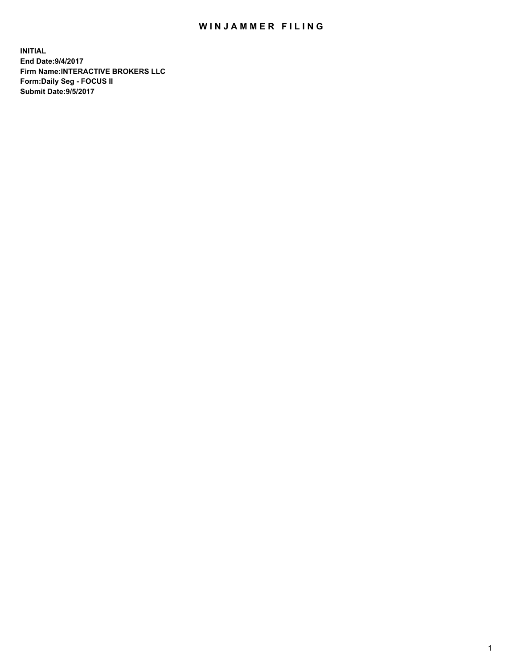## WIN JAMMER FILING

**INITIAL End Date:9/4/2017 Firm Name:INTERACTIVE BROKERS LLC Form:Daily Seg - FOCUS II Submit Date:9/5/2017**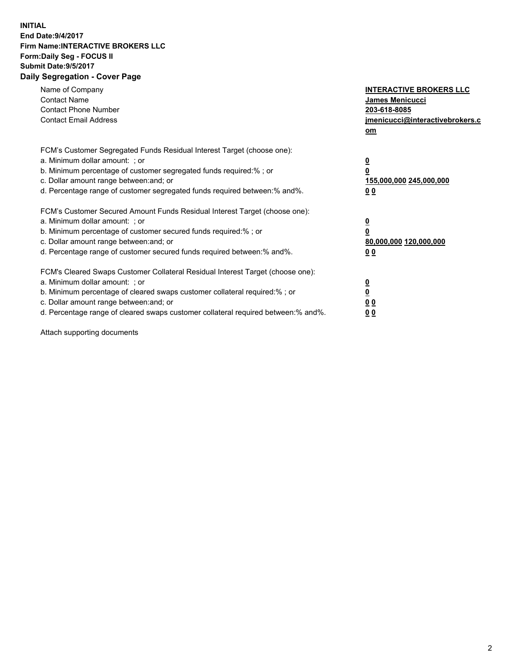## **INITIAL End Date:9/4/2017 Firm Name:INTERACTIVE BROKERS LLC Form:Daily Seg - FOCUS II Submit Date:9/5/2017 Daily Segregation - Cover Page**

| Name of Company<br><b>Contact Name</b><br><b>Contact Phone Number</b><br><b>Contact Email Address</b>                                                                                                                                                                                                                          | <b>INTERACTIVE BROKERS LLC</b><br>James Menicucci<br>203-618-8085<br>jmenicucci@interactivebrokers.c<br>om |
|--------------------------------------------------------------------------------------------------------------------------------------------------------------------------------------------------------------------------------------------------------------------------------------------------------------------------------|------------------------------------------------------------------------------------------------------------|
| FCM's Customer Segregated Funds Residual Interest Target (choose one):<br>a. Minimum dollar amount: ; or<br>b. Minimum percentage of customer segregated funds required:% ; or<br>c. Dollar amount range between: and; or<br>d. Percentage range of customer segregated funds required between:% and%.                         | $\overline{\mathbf{0}}$<br>0<br>155,000,000 245,000,000<br>0 <sub>0</sub>                                  |
| FCM's Customer Secured Amount Funds Residual Interest Target (choose one):<br>a. Minimum dollar amount: ; or<br>b. Minimum percentage of customer secured funds required:%; or<br>c. Dollar amount range between: and; or<br>d. Percentage range of customer secured funds required between: % and %.                          | $\overline{\mathbf{0}}$<br>0<br>80,000,000 120,000,000<br>0 <sub>0</sub>                                   |
| FCM's Cleared Swaps Customer Collateral Residual Interest Target (choose one):<br>a. Minimum dollar amount: ; or<br>b. Minimum percentage of cleared swaps customer collateral required:% ; or<br>c. Dollar amount range between: and; or<br>d. Percentage range of cleared swaps customer collateral required between:% and%. | $\overline{\mathbf{0}}$<br>$\overline{\mathbf{0}}$<br>0 <sub>0</sub><br>0 <sub>0</sub>                     |

Attach supporting documents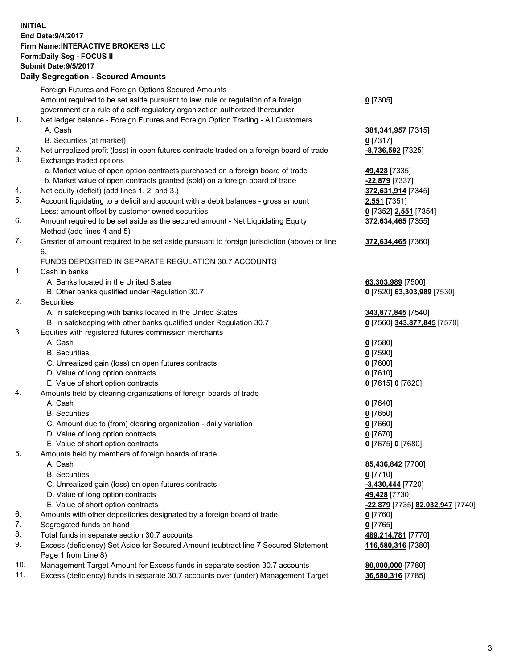## **INITIAL End Date:9/4/2017 Firm Name:INTERACTIVE BROKERS LLC Form:Daily Seg - FOCUS II Submit Date:9/5/2017 Daily Segregation - Secured Amounts**

|     | Foreign Futures and Foreign Options Secured Amounts                                         |                                        |
|-----|---------------------------------------------------------------------------------------------|----------------------------------------|
|     | Amount required to be set aside pursuant to law, rule or regulation of a foreign            | $0$ [7305]                             |
|     | government or a rule of a self-regulatory organization authorized thereunder                |                                        |
| 1.  | Net ledger balance - Foreign Futures and Foreign Option Trading - All Customers             |                                        |
|     | A. Cash                                                                                     | 381, 341, 957 [7315]                   |
|     | B. Securities (at market)                                                                   | $0$ [7317]                             |
| 2.  | Net unrealized profit (loss) in open futures contracts traded on a foreign board of trade   | -8,736,592 [7325]                      |
| 3.  | Exchange traded options                                                                     |                                        |
|     | a. Market value of open option contracts purchased on a foreign board of trade              | 49,428 [7335]                          |
|     | b. Market value of open contracts granted (sold) on a foreign board of trade                | -22,879 [7337]                         |
| 4.  | Net equity (deficit) (add lines 1. 2. and 3.)                                               | 372,631,914 [7345]                     |
| 5.  | Account liquidating to a deficit and account with a debit balances - gross amount           | 2,551 [7351]                           |
|     | Less: amount offset by customer owned securities                                            | 0 [7352] 2,551 [7354]                  |
| 6.  | Amount required to be set aside as the secured amount - Net Liquidating Equity              | 372,634,465 [7355]                     |
|     | Method (add lines 4 and 5)                                                                  |                                        |
| 7.  | Greater of amount required to be set aside pursuant to foreign jurisdiction (above) or line | 372,634,465 [7360]                     |
|     | 6.                                                                                          |                                        |
|     | FUNDS DEPOSITED IN SEPARATE REGULATION 30.7 ACCOUNTS                                        |                                        |
| 1.  | Cash in banks                                                                               |                                        |
|     | A. Banks located in the United States                                                       | 63,303,989 [7500]                      |
|     | B. Other banks qualified under Regulation 30.7                                              | 0 [7520] 63,303,989 [7530]             |
| 2.  | Securities                                                                                  |                                        |
|     | A. In safekeeping with banks located in the United States                                   | 343,877,845 [7540]                     |
|     | B. In safekeeping with other banks qualified under Regulation 30.7                          | 0 [7560] 343,877,845 [7570]            |
| 3.  | Equities with registered futures commission merchants                                       |                                        |
|     | A. Cash                                                                                     | $0$ [7580]                             |
|     | <b>B.</b> Securities                                                                        | $0$ [7590]                             |
|     | C. Unrealized gain (loss) on open futures contracts                                         | $0$ [7600]                             |
|     | D. Value of long option contracts                                                           | $0$ [7610]                             |
|     | E. Value of short option contracts                                                          | 0 [7615] 0 [7620]                      |
| 4.  | Amounts held by clearing organizations of foreign boards of trade                           |                                        |
|     | A. Cash                                                                                     | $0$ [7640]                             |
|     | <b>B.</b> Securities                                                                        | $0$ [7650]                             |
|     | C. Amount due to (from) clearing organization - daily variation                             | $0$ [7660]                             |
|     | D. Value of long option contracts                                                           | $0$ [7670]                             |
|     | E. Value of short option contracts                                                          | 0 [7675] 0 [7680]                      |
| 5.  | Amounts held by members of foreign boards of trade                                          |                                        |
|     | A. Cash                                                                                     | 85,436,842 [7700]                      |
|     | <b>B.</b> Securities                                                                        | $0$ [7710]                             |
|     | C. Unrealized gain (loss) on open futures contracts                                         | $-3,430,444$ [7720]                    |
|     | D. Value of long option contracts                                                           | 49,428 [7730]                          |
|     | E. Value of short option contracts                                                          | -22,879 [7735] 82,032,947 [7740]       |
| 6.  | Amounts with other depositories designated by a foreign board of trade                      | $0$ [7760]                             |
| 7.  | Segregated funds on hand                                                                    | $0$ [7765]                             |
| 8.  | Total funds in separate section 30.7 accounts                                               | 489,214,781 [7770]                     |
| 9.  | Excess (deficiency) Set Aside for Secured Amount (subtract line 7 Secured Statement         | 116,580,316 [7380]                     |
|     | Page 1 from Line 8)                                                                         |                                        |
| 10. | Management Target Amount for Excess funds in separate section 30.7 accounts                 |                                        |
| 11. | Excess (deficiency) funds in separate 30.7 accounts over (under) Management Target          | 80,000,000 [7780]<br>36,580,316 [7785] |
|     |                                                                                             |                                        |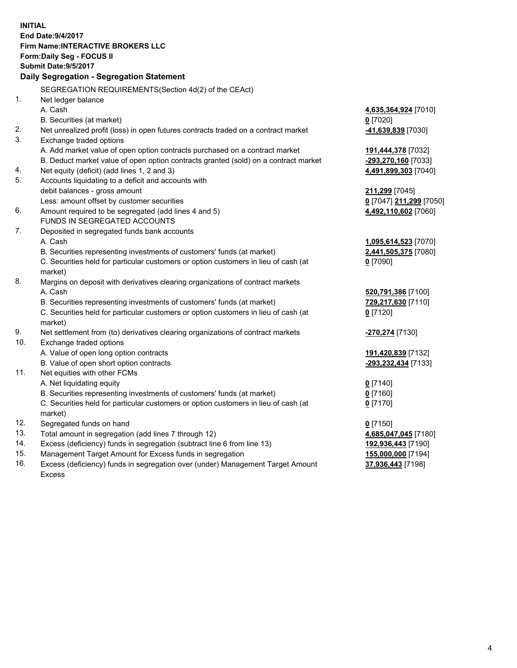**INITIAL End Date:9/4/2017 Firm Name:INTERACTIVE BROKERS LLC Form:Daily Seg - FOCUS II Submit Date:9/5/2017 Daily Segregation - Segregation Statement** SEGREGATION REQUIREMENTS(Section 4d(2) of the CEAct) 1. Net ledger balance A. Cash **4,635,364,924** [7010] B. Securities (at market) **0** [7020] 2. Net unrealized profit (loss) in open futures contracts traded on a contract market **-41,639,839** [7030] 3. Exchange traded options A. Add market value of open option contracts purchased on a contract market **191,444,378** [7032] B. Deduct market value of open option contracts granted (sold) on a contract market **-293,270,160** [7033] 4. Net equity (deficit) (add lines 1, 2 and 3) **4,491,899,303** [7040] 5. Accounts liquidating to a deficit and accounts with debit balances - gross amount **211,299** [7045] Less: amount offset by customer securities **0** [7047] **211,299** [7050] 6. Amount required to be segregated (add lines 4 and 5) **4,492,110,602** [7060] FUNDS IN SEGREGATED ACCOUNTS 7. Deposited in segregated funds bank accounts A. Cash **1,095,614,523** [7070] B. Securities representing investments of customers' funds (at market) **2,441,505,375** [7080] C. Securities held for particular customers or option customers in lieu of cash (at market) **0** [7090] 8. Margins on deposit with derivatives clearing organizations of contract markets A. Cash **520,791,386** [7100] B. Securities representing investments of customers' funds (at market) **729,217,630** [7110] C. Securities held for particular customers or option customers in lieu of cash (at market) **0** [7120] 9. Net settlement from (to) derivatives clearing organizations of contract markets **-270,274** [7130] 10. Exchange traded options A. Value of open long option contracts **191,420,839** [7132] B. Value of open short option contracts **-293,232,434** [7133] 11. Net equities with other FCMs A. Net liquidating equity **0** [7140] B. Securities representing investments of customers' funds (at market) **0** [7160] C. Securities held for particular customers or option customers in lieu of cash (at market) **0** [7170] 12. Segregated funds on hand **0** [7150] 13. Total amount in segregation (add lines 7 through 12) **4,685,047,045** [7180] 14. Excess (deficiency) funds in segregation (subtract line 6 from line 13) **192,936,443** [7190] 15. Management Target Amount for Excess funds in segregation **155,000,000** [7194] 16. Excess (deficiency) funds in segregation over (under) Management Target Amount **37,936,443** [7198]

Excess